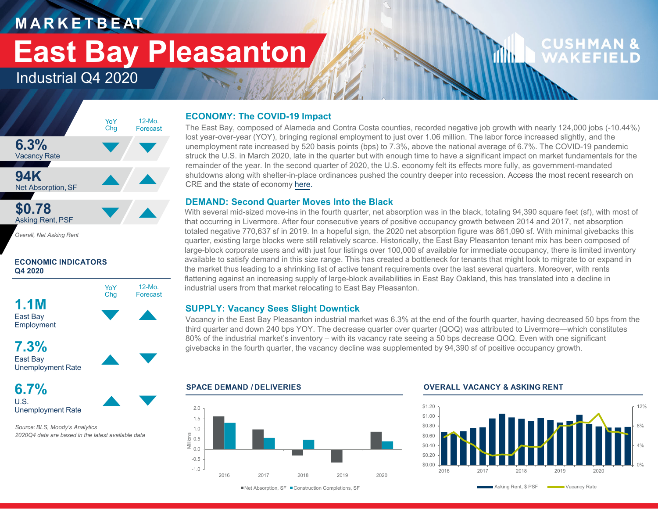### **M A R K E T B E AT**

## **East Bay Pleasanton**

12-Mo.Forecast

### Industrial Q4 2020



**ECONOMIC INDICATORS Q4 2020**





**6.7%**

U.S.Unemployment Rate

*Source: BLS, Moody's Analytics 2020Q4 data are based in the latest available data*

#### **ECONOMY: The COVID-19 Impact**

The East Bay, composed of Alameda and Contra Costa counties, recorded negative job growth with nearly 124,000 jobs (-10.44%) lost year-over-year (YOY), bringing regional employment to just over 1.06 million. The labor force increased slightly, and the unemployment rate increased by 520 basis points (bps) to 7.3%, above the national average of 6.7%. The COVID-19 pandemic struck the U.S. in March 2020, late in the quarter but with enough time to have a significant impact on market fundamentals for the remainder of the year. In the second quarter of 2020, the U.S. economy felt its effects more fully, as government-mandated shutdowns along with shelter-in-place ordinances pushed the country deeper into recession. Access the most recent research on CRE and the state of economy <u>here</u>.

### **DEMAND: Second Quarter Moves Into the Black**

With several mid-sized move-ins in the fourth quarter, net absorption was in the black, totaling 94,390 square feet (sf), with most of that occurring in Livermore. After four consecutive years of positive occupancy growth between 2014 and 2017, net absorption totaled negative 770,637 sf in 2019. In a hopeful sign, the 2020 net absorption figure was 861,090 sf. With minimal givebacks this quarter, existing large blocks were still relatively scarce. Historically, the East Bay Pleasanton tenant mix has been composed of large-block corporate users and with just four listings over 100,000 sf available for immediate occupancy, there is limited inventory available to satisfy demand in this size range. This has created a bottleneck for tenants that might look to migrate to or expand in the market thus leading to a shrinking list of active tenant requirements over the last several quarters. Moreover, with rents flattening against an increasing supply of large-block availabilities in East Bay Oakland, this has translated into a decline in industrial users from that market relocating to East Bay Pleasanton.

### **SUPPLY: Vacancy Sees Slight Downtick**

**SPACE DEMAND / DELIVERIES**

Vacancy in the East Bay Pleasanton industrial market was 6.3% at the end of the fourth quarter, having decreased 50 bps from the third quarter and down 240 bps YOY. The decrease quarter over quarter (QOQ) was attributed to Livermore—which constitutes 80% of the industrial market's inventory – with its vacancy rate seeing a 50 bps decrease QOQ. Even with one significant givebacks in the fourth quarter, the vacancy decline was supplemented by 94,390 sf of positive occupancy growth.

-1.0-0.5  $0.0$ Millions<br>Millions<br>Millions 1.0 1.52.02016 2017 2018 2019 2020

#### **OVERALL VACANCY & ASKING RENT**

illin.



**CUSHMAN &** 

WAKEFIEI

■Net Absorption, SF ■ Construction Completions, SF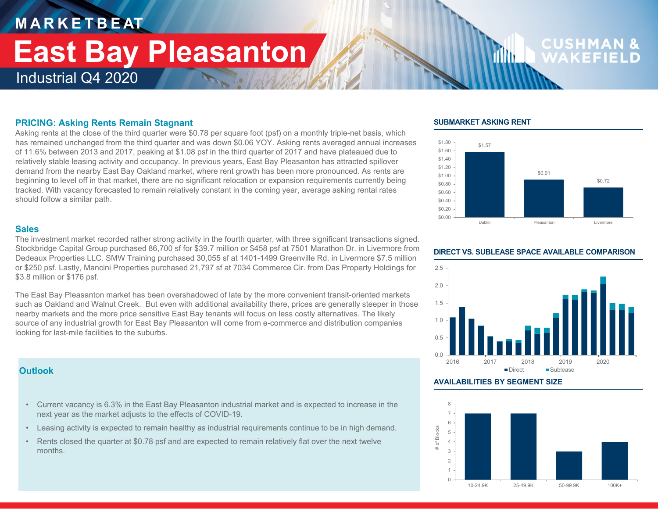## **M A R K E T B E AT** Industrial Q4 2020 **East Bay Pleasanton**

# **CUSHM**

#### **PRICING: Asking Rents Remain Stagnant**

Asking rents at the close of the third quarter were \$0.78 per square foot (psf) on a monthly triple-net basis, which has remained unchanged from the third quarter and was down \$0.06 YOY. Asking rents averaged annual increases of 11.6% between 2013 and 2017, peaking at \$1.08 psf in the third quarter of 2017 and have plateaued due to relatively stable leasing activity and occupancy. In previous years, East Bay Pleasanton has attracted spillover demand from the nearby East Bay Oakland market, where rent growth has been more pronounced. As rents are beginning to level off in that market, there are no significant relocation or expansion requirements currently being tracked. With vacancy forecasted to remain relatively constant in the coming year, average asking rental rates should follow a similar path.

#### **Sales**

The investment market recorded rather strong activity in the fourth quarter, with three significant transactions signed. Stockbridge Capital Group purchased 86,700 sf for \$39.7 million or \$458 psf at 7501 Marathon Dr. in Livermore from Dedeaux Properties LLC. SMW Training purchased 30,055 sf at 1401-1499 Greenville Rd. in Livermore \$7.5 million or \$250 psf. Lastly, Mancini Properties purchased 21,797 sf at 7034 Commerce Cir. from Das Property Holdings for \$3.8 million or \$176 psf.

The East Bay Pleasanton market has been overshadowed of late by the more convenient transit-oriented markets such as Oakland and Walnut Creek. But even with additional availability there, prices are generally steeper in those nearby markets and the more price sensitive East Bay tenants will focus on less costly alternatives. The likely source of any industrial growth for East Bay Pleasanton will come from e-commerce and distribution companies looking for last-mile facilities to the suburbs.

#### **Outlook**

- Current vacancy is 6.3% in the East Bay Pleasanton industrial market and is expected to increase in the next year as the market adjusts to the effects of COVID-19.
- Leasing activity is expected to remain healthy as industrial requirements continue to be in high demand.
- Rents closed the quarter at \$0.78 psf and are expected to remain relatively flat over the next twelve months.

#### **SUBMARKET ASKING RENT**

11 Ib





#### **AVAILABILITIES BY SEGMENT SIZE**



#### **DIRECT VS. SUBLEASE SPACE AVAILABLE COMPARISON**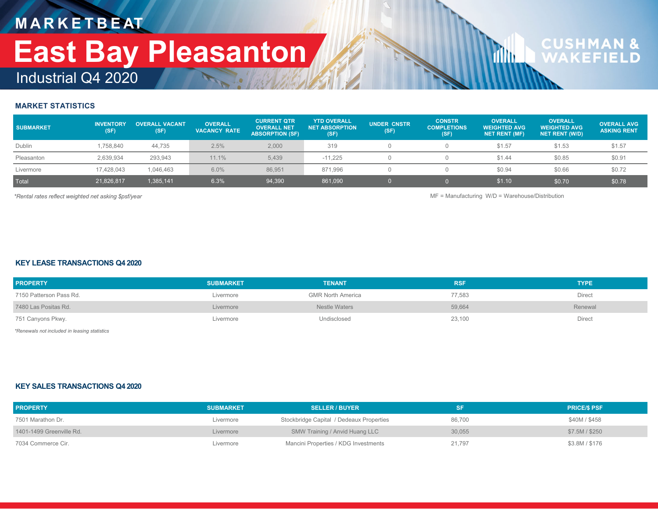## **M A R K E T B E AT** Industrial Q4 2020 **East Bay Pleasanton**

# **CUSHMAN &**<br>WAKFFIFLD

#### **MARKET STATISTICS**

| <b>SUBMARKET</b> | <b>INVENTORY</b><br>(SF) | <b>OVERALL VACANT</b><br>(SF) | <b>OVERALL</b><br><b>VACANCY RATE</b> | <b>CURRENT QTR</b><br><b>OVERALL NET</b><br><b>ABSORPTION (SF)</b> | <b>YTD OVERALL</b><br><b>NET ABSORPTION</b><br>(SF) | <b>UNDER CNSTR</b><br>(SF) | <b>CONSTR</b><br><b>COMPLETIONS</b><br>(SF) | <b>OVERALL</b><br><b>WEIGHTED AVG</b><br><b>NET RENT (MF)</b> | <b>OVERALL</b><br><b>WEIGHTED AVG</b><br><b>NET RENT (W/D)</b> | <b>OVERALL AVG</b><br><b>ASKING RENT</b> |
|------------------|--------------------------|-------------------------------|---------------------------------------|--------------------------------------------------------------------|-----------------------------------------------------|----------------------------|---------------------------------------------|---------------------------------------------------------------|----------------------------------------------------------------|------------------------------------------|
| Dublin           | 1.758.840                | 44.735                        | 2.5%                                  | 2,000                                                              | 319                                                 |                            |                                             | \$1.57                                                        | \$1.53                                                         | \$1.57                                   |
| Pleasanton       | 2,639,934                | 293,943                       | 11.1%                                 | 5,439                                                              | $-11,225$                                           |                            |                                             | \$1.44                                                        | \$0.85                                                         | \$0.91                                   |
| Livermore        | 17.428.043               | 1.046.463                     | 6.0%                                  | 86.951                                                             | 871,996                                             |                            |                                             | \$0.94                                                        | \$0.66                                                         | \$0.72                                   |
| Total            | 21.826.817               | 1,385,141                     | 6.3%                                  | 94,390                                                             | 861,090                                             |                            |                                             | \$1.10                                                        | \$0.70                                                         | \$0.78                                   |

*\*Rental rates reflect weighted net asking \$psf/year* MF = Manufacturing W/D = Warehouse/Distribution

**d** 

#### **KEY LEASE TRANSACTIONS Q4 2020**

| <b>PROPERTY</b>         | <b>SUBMARKET</b> | <b>TENANT</b>            | <b>RSF</b> | <b>TYPE</b> |
|-------------------------|------------------|--------------------------|------------|-------------|
| 7150 Patterson Pass Rd. | Livermore        | <b>GMR North America</b> | 77,583     | Direct      |
| 7480 Las Positas Rd.    | Livermore        | Nestle Waters            | 59,664     | Renewal     |
| 751 Canyons Pkwy.       | Livermore        | Undisclosed              | 23,100     | Direct      |

*\*Renewals not included in leasing statistics*

#### **KEY SALES TRANSACTIONS Q4 2020**

| <b>PROPERTY</b>          | <b>SUBMARKET</b> | <b>SELLER / BUYER</b>                    |        | <b>PRICE/S PSF</b> |
|--------------------------|------------------|------------------------------------------|--------|--------------------|
| 7501 Marathon Dr.        | Livermore        | Stockbridge Capital / Dedeaux Properties | 86,700 | \$40M / \$458      |
| 1401-1499 Greenville Rd. | Livermore        | SMW Training / Anvid Huang LLC           | 30,055 | \$7.5M / \$250     |
| 7034 Commerce Cir.       | Livermore        | Mancini Properties / KDG Investments     | 21.797 | \$3.8M / \$176     |